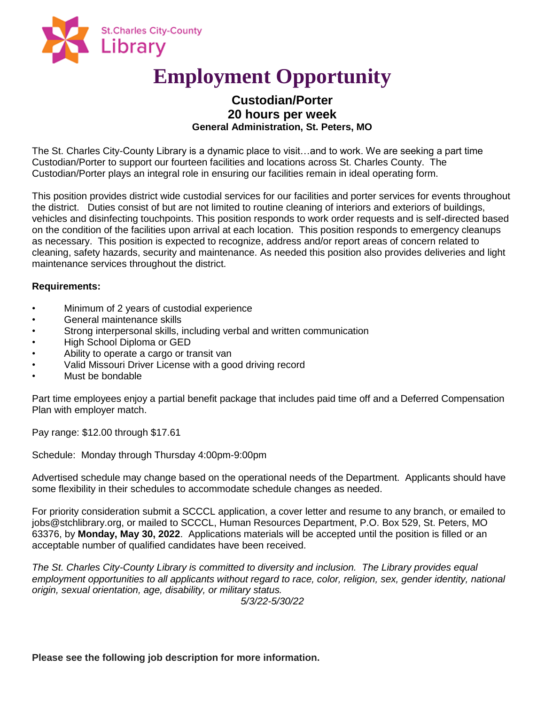

# **Employment Opportunity**

# **Custodian/Porter 20 hours per week General Administration, St. Peters, MO**

The St. Charles City-County Library is a dynamic place to visit…and to work. We are seeking a part time Custodian/Porter to support our fourteen facilities and locations across St. Charles County. The Custodian/Porter plays an integral role in ensuring our facilities remain in ideal operating form.

This position provides district wide custodial services for our facilities and porter services for events throughout the district. Duties consist of but are not limited to routine cleaning of interiors and exteriors of buildings, vehicles and disinfecting touchpoints. This position responds to work order requests and is self-directed based on the condition of the facilities upon arrival at each location. This position responds to emergency cleanups as necessary. This position is expected to recognize, address and/or report areas of concern related to cleaning, safety hazards, security and maintenance. As needed this position also provides deliveries and light maintenance services throughout the district.

## **Requirements:**

- Minimum of 2 years of custodial experience
- General maintenance skills
- Strong interpersonal skills, including verbal and written communication
- High School Diploma or GED
- Ability to operate a cargo or transit van
- Valid Missouri Driver License with a good driving record
- Must be bondable

Part time employees enjoy a partial benefit package that includes paid time off and a Deferred Compensation Plan with employer match.

Pay range: \$12.00 through \$17.61

Schedule: Monday through Thursday 4:00pm-9:00pm

Advertised schedule may change based on the operational needs of the Department. Applicants should have some flexibility in their schedules to accommodate schedule changes as needed.

For priority consideration submit a SCCCL application, a cover letter and resume to any branch, or emailed to jobs@stchlibrary.org, or mailed to SCCCL, Human Resources Department, P.O. Box 529, St. Peters, MO 63376, by **Monday, May 30, 2022**. Applications materials will be accepted until the position is filled or an acceptable number of qualified candidates have been received.

*The St. Charles City-County Library is committed to diversity and inclusion. The Library provides equal*  employment opportunities to all applicants without regard to race, color, religion, sex, gender identity, national *origin, sexual orientation, age, disability, or military status.*

*5/3/22-5/30/22*

**Please see the following job description for more information.**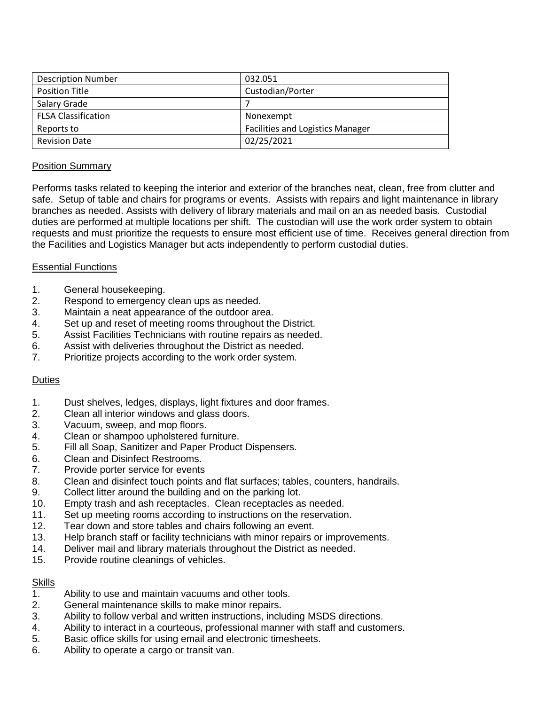| <b>Description Number</b>  | 032.051                                 |
|----------------------------|-----------------------------------------|
| <b>Position Title</b>      | Custodian/Porter                        |
| Salary Grade               |                                         |
| <b>FLSA Classification</b> | Nonexempt                               |
| Reports to                 | <b>Facilities and Logistics Manager</b> |
| <b>Revision Date</b>       | 02/25/2021                              |

## Position Summary

Performs tasks related to keeping the interior and exterior of the branches neat, clean, free from clutter and safe. Setup of table and chairs for programs or events. Assists with repairs and light maintenance in library branches as needed. Assists with delivery of library materials and mail on an as needed basis. Custodial duties are performed at multiple locations per shift. The custodian will use the work order system to obtain requests and must prioritize the requests to ensure most efficient use of time. Receives general direction from the Facilities and Logistics Manager but acts independently to perform custodial duties.

## Essential Functions

- 1. General housekeeping.
- 2. Respond to emergency clean ups as needed.
- 3. Maintain a neat appearance of the outdoor area.
- 4. Set up and reset of meeting rooms throughout the District.
- 5. Assist Facilities Technicians with routine repairs as needed.
- 6. Assist with deliveries throughout the District as needed.
- 7. Prioritize projects according to the work order system.

## **Duties**

- 1. Dust shelves, ledges, displays, light fixtures and door frames.
- 2. Clean all interior windows and glass doors.
- 3. Vacuum, sweep, and mop floors.
- 4. Clean or shampoo upholstered furniture.
- 5. Fill all Soap, Sanitizer and Paper Product Dispensers.
- 6. Clean and Disinfect Restrooms.
- 7. Provide porter service for events
- 8. Clean and disinfect touch points and flat surfaces; tables, counters, handrails.
- 9. Collect litter around the building and on the parking lot.
- 10. Empty trash and ash receptacles. Clean receptacles as needed.
- 11. Set up meeting rooms according to instructions on the reservation.
- 12. Tear down and store tables and chairs following an event.
- 13. Help branch staff or facility technicians with minor repairs or improvements.
- 14. Deliver mail and library materials throughout the District as needed.
- 15. Provide routine cleanings of vehicles.

## **Skills**

- 1. Ability to use and maintain vacuums and other tools.
- 2. General maintenance skills to make minor repairs.
- 3. Ability to follow verbal and written instructions, including MSDS directions.
- 4. Ability to interact in a courteous, professional manner with staff and customers.
- 5. Basic office skills for using email and electronic timesheets.
- 6. Ability to operate a cargo or transit van.